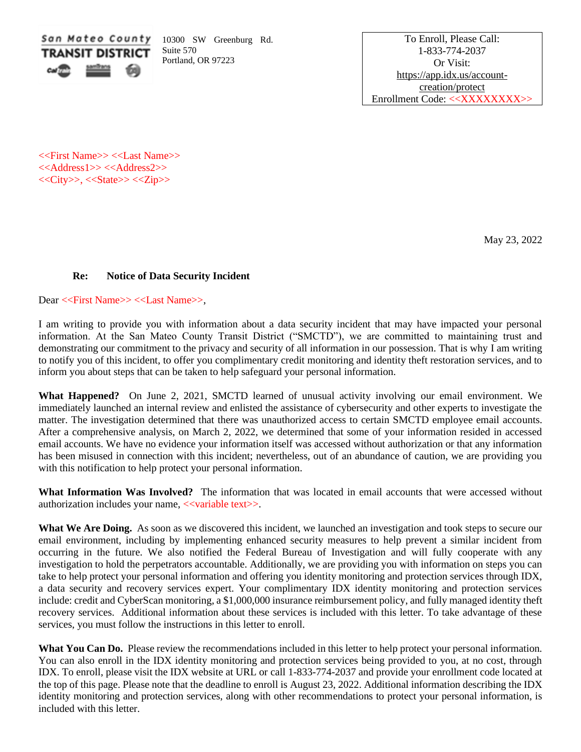

10300 SW Greenburg Rd. Suite 570 Portland, OR 97223

To Enroll, Please Call: 1-833-774-2037 Or Visit: [https://app.idx.us/account](https://app.idx.us/account-creation/protect)[creation/protect](https://app.idx.us/account-creation/protect) Enrollment Code: <<XXXXXXXX>>

<<First Name>> <<Last Name>> <<Address1>> <<Address2>>  $<>, <> <>$ 

May 23, 2022

## **Re: Notice of Data Security Incident**

Dear <<First Name>> <<Last Name>>,

I am writing to provide you with information about a data security incident that may have impacted your personal information. At the San Mateo County Transit District ("SMCTD"), we are committed to maintaining trust and demonstrating our commitment to the privacy and security of all information in our possession. That is why I am writing to notify you of this incident, to offer you complimentary credit monitoring and identity theft restoration services, and to inform you about steps that can be taken to help safeguard your personal information.

**What Happened?** On June 2, 2021, SMCTD learned of unusual activity involving our email environment. We immediately launched an internal review and enlisted the assistance of cybersecurity and other experts to investigate the matter. The investigation determined that there was unauthorized access to certain SMCTD employee email accounts. After a comprehensive analysis, on March 2, 2022, we determined that some of your information resided in accessed email accounts. We have no evidence your information itself was accessed without authorization or that any information has been misused in connection with this incident; nevertheless, out of an abundance of caution, we are providing you with this notification to help protect your personal information.

**What Information Was Involved?** The information that was located in email accounts that were accessed without authorization includes your name, <<variable text>>.

What We Are Doing. As soon as we discovered this incident, we launched an investigation and took steps to secure our email environment, including by implementing enhanced security measures to help prevent a similar incident from occurring in the future. We also notified the Federal Bureau of Investigation and will fully cooperate with any investigation to hold the perpetrators accountable. Additionally, we are providing you with information on steps you can take to help protect your personal information and offering you identity monitoring and protection services through IDX, a data security and recovery services expert. Your complimentary IDX identity monitoring and protection services include: credit and CyberScan monitoring, a \$1,000,000 insurance reimbursement policy, and fully managed identity theft recovery services. Additional information about these services is included with this letter. To take advantage of these services, you must follow the instructions in this letter to enroll.

What You Can Do. Please review the recommendations included in this letter to help protect your personal information. You can also enroll in the IDX identity monitoring and protection services being provided to you, at no cost, through IDX. To enroll, please visit the IDX website at URL or call 1-833-774-2037 and provide your enrollment code located at the top of this page. Please note that the deadline to enroll is August 23, 2022. Additional information describing the IDX identity monitoring and protection services, along with other recommendations to protect your personal information, is included with this letter.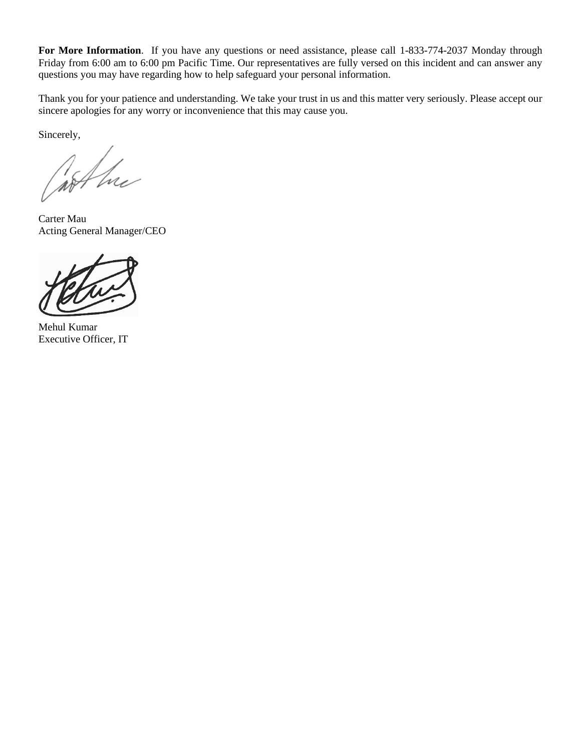For More Information. If you have any questions or need assistance, please call 1-833-774-2037 Monday through Friday from 6:00 am to 6:00 pm Pacific Time. Our representatives are fully versed on this incident and can answer any questions you may have regarding how to help safeguard your personal information.

Thank you for your patience and understanding. We take your trust in us and this matter very seriously. Please accept our sincere apologies for any worry or inconvenience that this may cause you.

Sincerely,

not he

Carter Mau Acting General Manager/CEO



Mehul Kumar Executive Officer, IT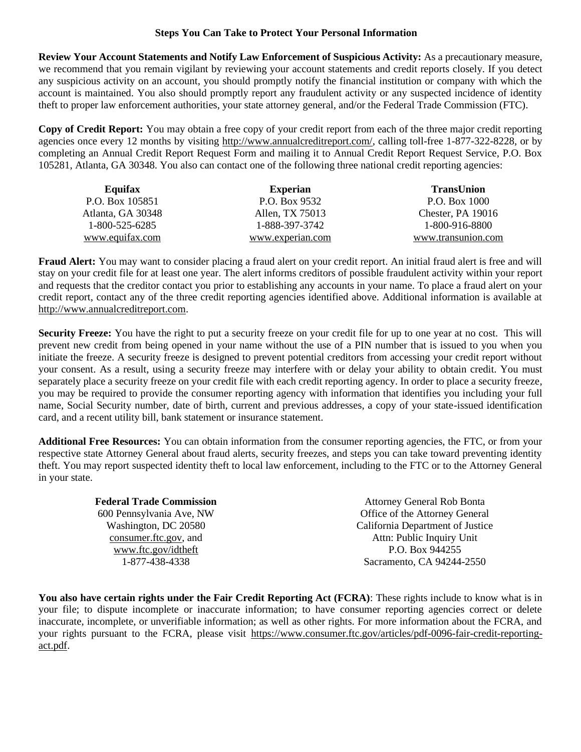## **Steps You Can Take to Protect Your Personal Information**

**Review Your Account Statements and Notify Law Enforcement of Suspicious Activity:** As a precautionary measure, we recommend that you remain vigilant by reviewing your account statements and credit reports closely. If you detect any suspicious activity on an account, you should promptly notify the financial institution or company with which the account is maintained. You also should promptly report any fraudulent activity or any suspected incidence of identity theft to proper law enforcement authorities, your state attorney general, and/or the Federal Trade Commission (FTC).

**Copy of Credit Report:** You may obtain a free copy of your credit report from each of the three major credit reporting agencies once every 12 months by visiting [http://www.annualcreditreport.com/,](http://www.annualcreditreport.com/) calling toll-free 1-877-322-8228, or by completing an Annual Credit Report Request Form and mailing it to Annual Credit Report Request Service, P.O. Box 105281, Atlanta, GA 30348. You also can contact one of the following three national credit reporting agencies:

| Equifax           | <b>Experian</b>  | <b>TransUnion</b>  |
|-------------------|------------------|--------------------|
| P.O. Box 105851   | P.O. Box 9532    | P.O. Box 1000      |
| Atlanta, GA 30348 | Allen, TX 75013  | Chester, PA 19016  |
| 1-800-525-6285    | 1-888-397-3742   | 1-800-916-8800     |
| www.equifax.com   | www.experian.com | www.transunion.com |

**Fraud Alert:** You may want to consider placing a fraud alert on your credit report. An initial fraud alert is free and will stay on your credit file for at least one year. The alert informs creditors of possible fraudulent activity within your report and requests that the creditor contact you prior to establishing any accounts in your name. To place a fraud alert on your credit report, contact any of the three credit reporting agencies identified above. Additional information is available at [http://www.annualcreditreport.com.](http://www.annualcreditreport.com/)

**Security Freeze:** You have the right to put a security freeze on your credit file for up to one year at no cost. This will prevent new credit from being opened in your name without the use of a PIN number that is issued to you when you initiate the freeze. A security freeze is designed to prevent potential creditors from accessing your credit report without your consent. As a result, using a security freeze may interfere with or delay your ability to obtain credit. You must separately place a security freeze on your credit file with each credit reporting agency. In order to place a security freeze, you may be required to provide the consumer reporting agency with information that identifies you including your full name, Social Security number, date of birth, current and previous addresses, a copy of your state-issued identification card, and a recent utility bill, bank statement or insurance statement.

**Additional Free Resources:** You can obtain information from the consumer reporting agencies, the FTC, or from your respective state Attorney General about fraud alerts, security freezes, and steps you can take toward preventing identity theft. You may report suspected identity theft to local law enforcement, including to the FTC or to the Attorney General in your state.

| <b>Federal Trade Commission</b> | <b>Attorney General Rob Bonta</b> |
|---------------------------------|-----------------------------------|
| 600 Pennsylvania Ave, NW        | Office of the Attorney General    |
| Washington, DC 20580            | California Department of Justice  |
| consumer.ftc.gov, and           | Attn: Public Inquiry Unit         |
| www.ftc.gov/idtheft             | P.O. Box 944255                   |
| 1-877-438-4338                  | Sacramento, CA 94244-2550         |

**You also have certain rights under the Fair Credit Reporting Act (FCRA)**: These rights include to know what is in your file; to dispute incomplete or inaccurate information; to have consumer reporting agencies correct or delete inaccurate, incomplete, or unverifiable information; as well as other rights. For more information about the FCRA, and your rights pursuant to the FCRA, please visit https://www.consumer.ftc.gov/articles/pdf-0096-fair-credit-reportingact.pdf.